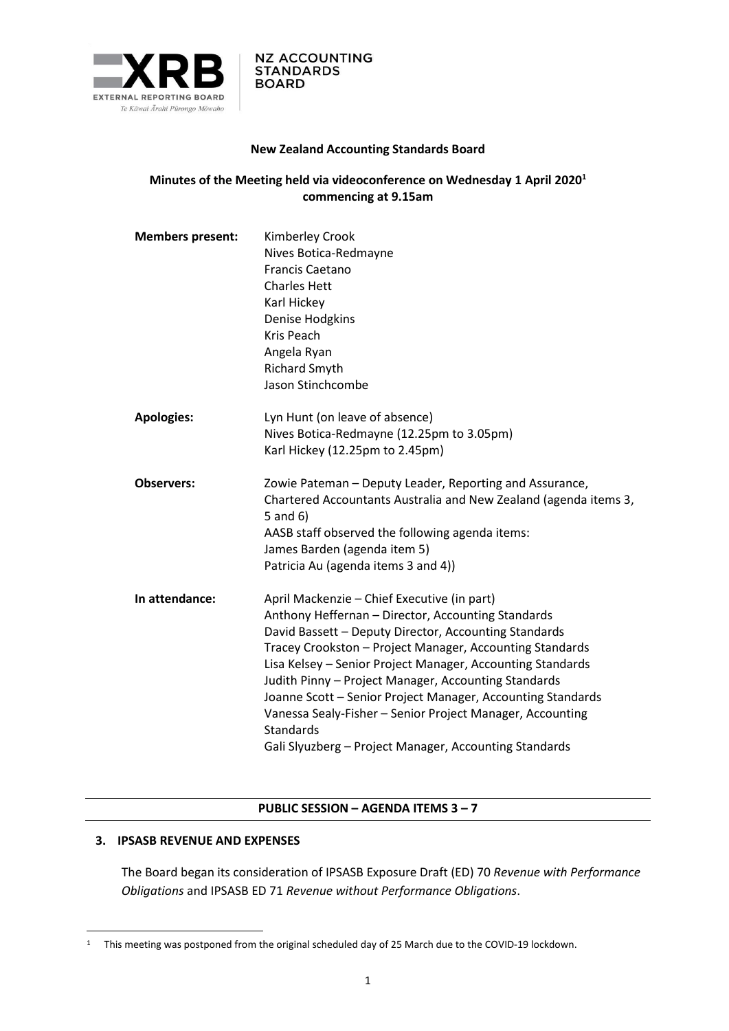

### **New Zealand Accounting Standards Board**

## **Minutes of the Meeting held via videoconference on Wednesday 1 April 2020<sup>1</sup> commencing at 9.15am**

| <b>Members present:</b> | Kimberley Crook<br>Nives Botica-Redmayne<br><b>Francis Caetano</b><br><b>Charles Hett</b><br>Karl Hickey<br>Denise Hodgkins<br><b>Kris Peach</b><br>Angela Ryan<br><b>Richard Smyth</b><br>Jason Stinchcombe                                                                                                                                                                                                                                                                                                                                           |
|-------------------------|--------------------------------------------------------------------------------------------------------------------------------------------------------------------------------------------------------------------------------------------------------------------------------------------------------------------------------------------------------------------------------------------------------------------------------------------------------------------------------------------------------------------------------------------------------|
| <b>Apologies:</b>       | Lyn Hunt (on leave of absence)<br>Nives Botica-Redmayne (12.25pm to 3.05pm)<br>Karl Hickey (12.25pm to 2.45pm)                                                                                                                                                                                                                                                                                                                                                                                                                                         |
| <b>Observers:</b>       | Zowie Pateman - Deputy Leader, Reporting and Assurance,<br>Chartered Accountants Australia and New Zealand (agenda items 3,<br>$5$ and $6)$<br>AASB staff observed the following agenda items:<br>James Barden (agenda item 5)<br>Patricia Au (agenda items 3 and 4))                                                                                                                                                                                                                                                                                  |
| In attendance:          | April Mackenzie - Chief Executive (in part)<br>Anthony Heffernan - Director, Accounting Standards<br>David Bassett - Deputy Director, Accounting Standards<br>Tracey Crookston - Project Manager, Accounting Standards<br>Lisa Kelsey - Senior Project Manager, Accounting Standards<br>Judith Pinny - Project Manager, Accounting Standards<br>Joanne Scott - Senior Project Manager, Accounting Standards<br>Vanessa Sealy-Fisher - Senior Project Manager, Accounting<br><b>Standards</b><br>Gali Slyuzberg - Project Manager, Accounting Standards |

#### **PUBLIC SESSION – AGENDA ITEMS 3 – 7**

## **3. IPSASB REVENUE AND EXPENSES**

The Board began its consideration of IPSASB Exposure Draft (ED) 70 *Revenue with Performance Obligations* and IPSASB ED 71 *Revenue without Performance Obligations*.

<sup>1</sup> This meeting was postponed from the original scheduled day of 25 March due to the COVID-19 lockdown.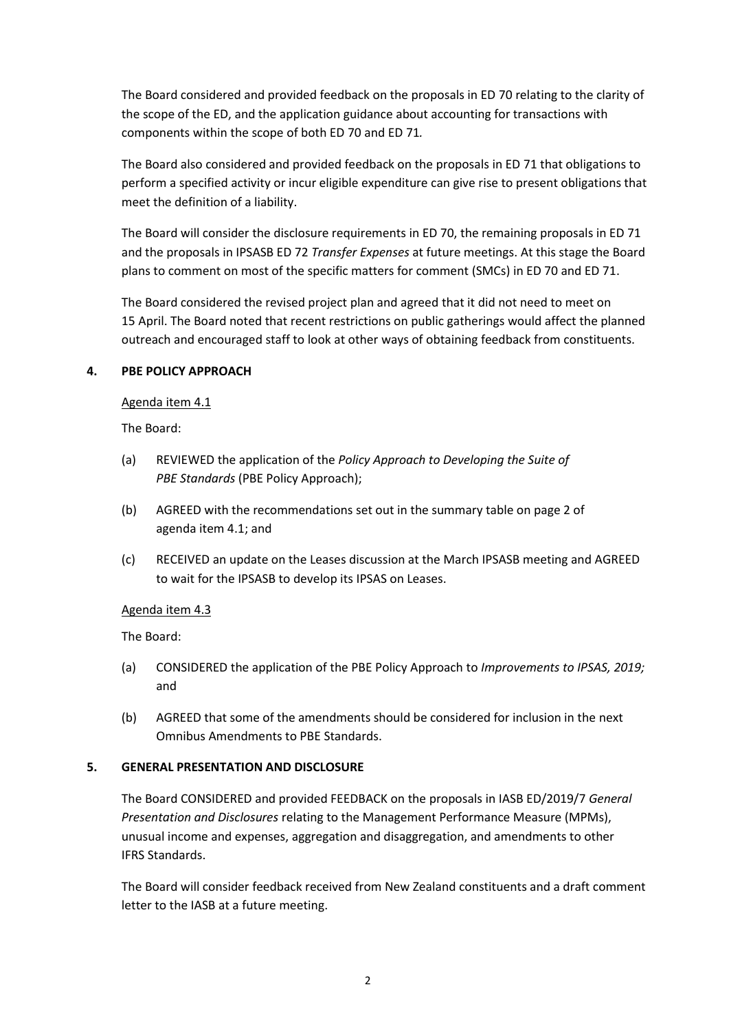The Board considered and provided feedback on the proposals in ED 70 relating to the clarity of the scope of the ED, and the application guidance about accounting for transactions with components within the scope of both ED 70 and ED 71*.* 

The Board also considered and provided feedback on the proposals in ED 71 that obligations to perform a specified activity or incur eligible expenditure can give rise to present obligations that meet the definition of a liability.

The Board will consider the disclosure requirements in ED 70, the remaining proposals in ED 71 and the proposals in IPSASB ED 72 *Transfer Expenses* at future meetings. At this stage the Board plans to comment on most of the specific matters for comment (SMCs) in ED 70 and ED 71.

The Board considered the revised project plan and agreed that it did not need to meet on 15 April. The Board noted that recent restrictions on public gatherings would affect the planned outreach and encouraged staff to look at other ways of obtaining feedback from constituents.

# **4. PBE POLICY APPROACH**

#### Agenda item 4.1

The Board:

- (a) REVIEWED the application of the *Policy Approach to Developing the Suite of PBE Standards* (PBE Policy Approach);
- (b) AGREED with the recommendations set out in the summary table on page 2 of agenda item 4.1; and
- (c) RECEIVED an update on the Leases discussion at the March IPSASB meeting and AGREED to wait for the IPSASB to develop its IPSAS on Leases.

#### Agenda item 4.3

The Board:

- (a) CONSIDERED the application of the PBE Policy Approach to *Improvements to IPSAS, 2019;*  and
- (b) AGREED that some of the amendments should be considered for inclusion in the next Omnibus Amendments to PBE Standards.

#### **5. GENERAL PRESENTATION AND DISCLOSURE**

The Board CONSIDERED and provided FEEDBACK on the proposals in IASB ED/2019/7 *General Presentation and Disclosures* relating to the Management Performance Measure (MPMs), unusual income and expenses, aggregation and disaggregation, and amendments to other IFRS Standards.

The Board will consider feedback received from New Zealand constituents and a draft comment letter to the IASB at a future meeting.